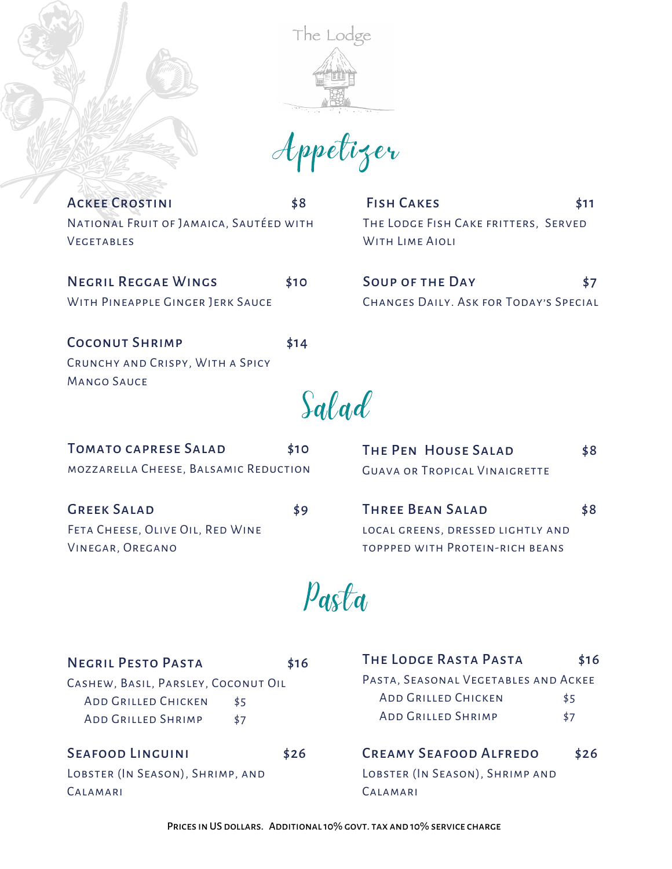

Appetizer

ACKEE CROSTINI \$8 National Fruit of Jamaica, Sautéed with **VEGETABLES** 

FISH CAKES \$11 THE LODGE FISH CAKE FRITTERS, SERVED WITH LIME AIOLI

NEGRIL REGGAE WINGS \$10 WITH PINEAPPLE GINGER JERK SAUCE

Soup of the Day \$7 Changes Daily. Ask for Today's Special

COCONUT SHRIMP \$14 Crunchy and Crispy, With a Spicy Mango Sauce

Salad

| <b>TOMATO CAPRESE SALAD</b>           | \$10 | <b>THE PEN HOUSE SALAD</b>             | \$8 |
|---------------------------------------|------|----------------------------------------|-----|
| MOZZARELLA CHEESE, BALSAMIC REDUCTION |      | <b>GUAVA OR TROPICAL VINAIGRETTE</b>   |     |
| <b>GREEK SALAD</b>                    | \$9  | <b>THREE BEAN SALAD</b>                | \$8 |
| FETA CHEESE, OLIVE OIL, RED WINE      |      | LOCAL GREENS, DRESSED LIGHTLY AND      |     |
| VINEGAR, OREGANO                      |      | <b>TOPPPED WITH PROTEIN-RICH BEANS</b> |     |
|                                       |      |                                        |     |

Pasta

| <b>NEGRIL PESTO PASTA</b>                                                                      | \$16       | THE LODGE RASTA PASTA                                                                           | \$16       |
|------------------------------------------------------------------------------------------------|------------|-------------------------------------------------------------------------------------------------|------------|
| CASHEW, BASIL, PARSLEY, COCONUT OIL<br><b>ADD GRILLED CHICKEN</b><br><b>ADD GRILLED SHRIMP</b> | \$5<br>\$7 | PASTA, SEASONAL VEGETABLES AND ACKEE<br><b>ADD GRILLED CHICKEN</b><br><b>ADD GRILLED SHRIMP</b> | \$5<br>\$7 |
| <b>SEAFOOD LINGUINI</b><br>LOBSTER (IN SEASON), SHRIMP, AND                                    | \$26       | <b>CREAMY SEAFOOD ALFREDO</b><br>LOBSTER (IN SEASON), SHRIMP AND                                | \$26       |

Calamari

Calamari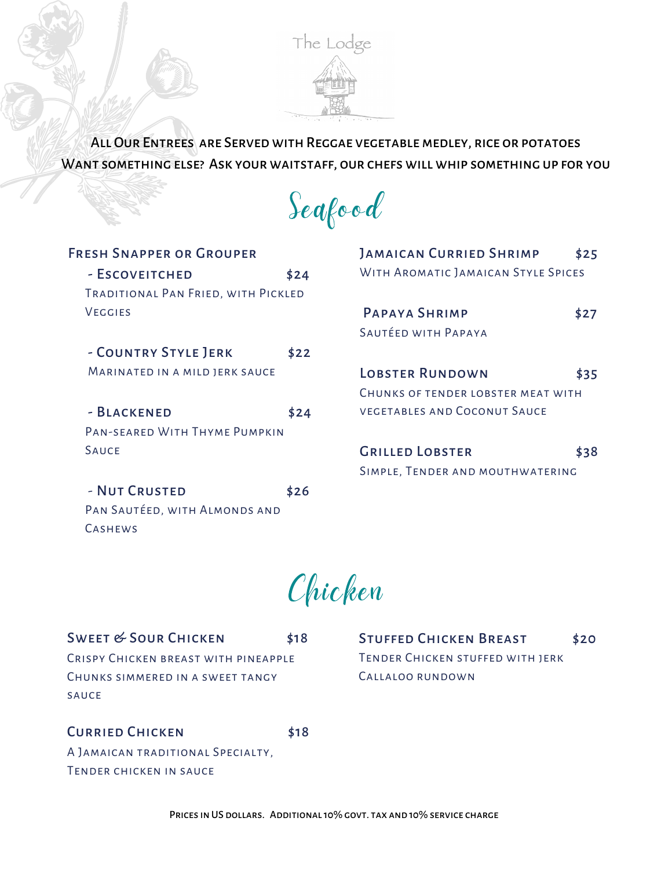

All Our Entrees are Served with Reggae vegetablemedley, rice or potatoes Want something else? Ask your waitstaff, our chefs will whip something up for you

Seafood

| <b>FRESH SNAPPER OR GROUPER</b>     |      |  |  |  |
|-------------------------------------|------|--|--|--|
| - ESCOVEITCHED                      | \$24 |  |  |  |
| TRADITIONAL PAN FRIED, WITH PICKLED |      |  |  |  |
| <b>VEGGIES</b>                      |      |  |  |  |
|                                     |      |  |  |  |
| - COUNTRY STYLE JERK                | \$22 |  |  |  |
| MARINATED IN A MILD JERK SAUCE      |      |  |  |  |
|                                     |      |  |  |  |
| - BLACKENED                         | \$24 |  |  |  |
| PAN-SFARED WITH THYME PUMPKIN       |      |  |  |  |
| <b>SAUCF</b>                        |      |  |  |  |
|                                     |      |  |  |  |
| - NUT CRUSTED                       | \$26 |  |  |  |
| PAN SAUTÉED, WITH ALMONDS AND       |      |  |  |  |

| <b>JAMAICAN CURRIED SHRIMP</b>      |      |  |  |  |
|-------------------------------------|------|--|--|--|
| WITH AROMATIC JAMAICAN STYLE SPICES |      |  |  |  |
|                                     |      |  |  |  |
| PAPAYA SHRIMP                       | \$27 |  |  |  |
| SAUTÉED WITH PAPAYA                 |      |  |  |  |
|                                     |      |  |  |  |
| <b>LOBSTER RUNDOWN</b>              | \$35 |  |  |  |
| CHUNKS OF TENDER LOBSTER MEAT WITH  |      |  |  |  |
| VEGETABLES AND COCONUT SAUCE        |      |  |  |  |
|                                     |      |  |  |  |
| <b>GRILLED LOBSTER</b>              | \$38 |  |  |  |
| SIMPLE, TENDER AND MOUTHWATERING    |      |  |  |  |

Chicken

SWEET & SOUR CHICKEN \$18 Crispy Chicken breast with pineapple Chunks simmered in a sweet tangy sauce

STUFFED CHICKEN BREAST \$20 Tender Chicken stuffed with jerk Callaloo rundown

## CURRIED CHICKEN \$18

**CASHEWS** 

A Jamaican traditional Specialty, Tender chicken in sauce